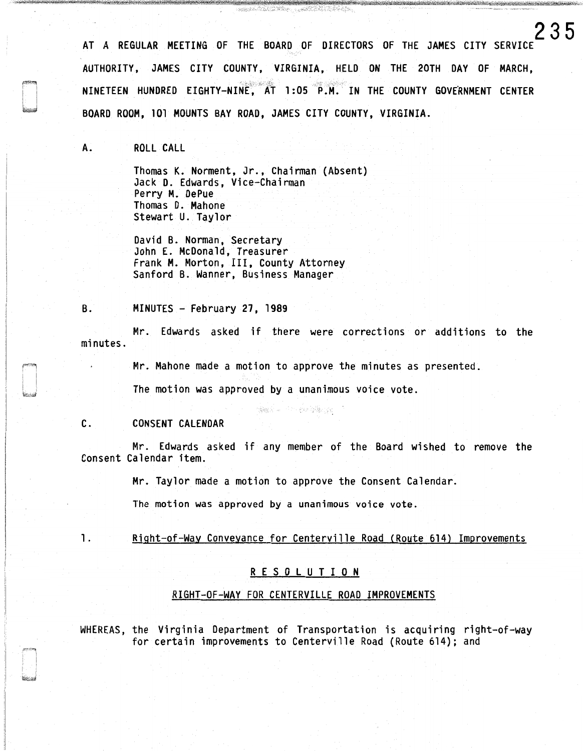AT A REGULAR MEETING OF THE BOARD OF DIRECTORS OF THE JAMES CITY SERVICE AUTHORITY, JAMES CITY COUNTY, VIRGINIA, HELD ON THE 20TH DAY OF MARCH, NINETEEN HUNDRED EIGHTY-NINE, AT 1:05 P.M. IN THE COUNTY GOVERNMENT CENTER BOARD ROOM, 101 MOUNTS BAY ROAD, JAMES CITY COUNTY, VIRGINIA.

**235** 

A. ROLL CALL

Thomas K. Norment, Jr., Chairman (Absent) Jack D. Edwards, Vice-Chairman Perry M. DePue Thomas D. Mahone Stewart U. Taylor

David B. Norman, Secretary John E. McDonald, Treasurer Frank M. Morton, III, County Attorney Sanford B. Wanner, Business Manager

B. MINUTES - February 27, 1989

Mr. Edwards asked if there were corrections or additions to the minutes.

Mr. Mahone made a motion to approve the minutes as presented.

The motion was approved by a unanimous voice vote.

#### C. CONSENT CALENDAR

Mr. Edwards asked if any member of the Board wished to remove the Consent Calendar item.

Mr. Taylor made a motion to approve the Consent Calendar.

(@gokine Himagoking@gokine)

The motion was approved by a unanimous voice vote.

#### 1. Right-of-Way Conveyance for Centerville Road (Route 614) Improvements

#### R E S 0 L U T I 0 N

#### RIGHT-OF-WAY FOR CENTERVILLE ROAD IMPROVEMENTS

WHEREAS, the Virginia Department of Transportation is acquiring right-of-way for certain improvements to Centerville Road (Route 614); and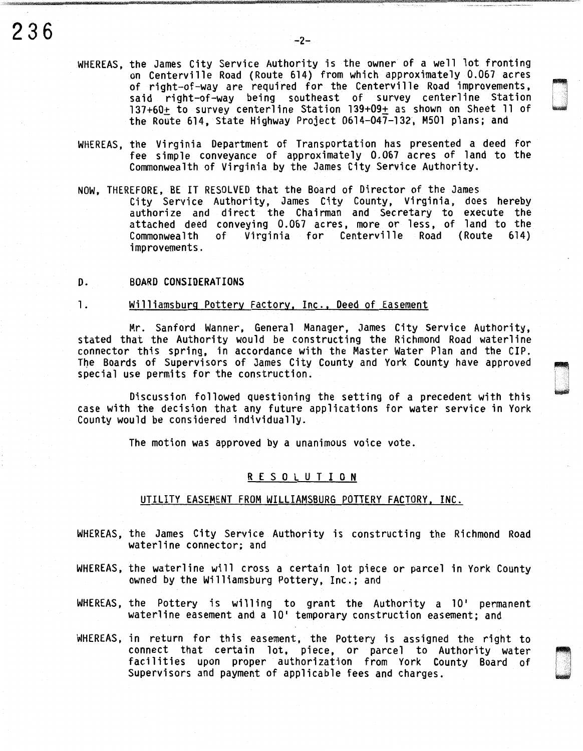- WHEREAS, the James City Service Authority is the owner of a well lot fronting on Centerville Road (Route 614) from which approximately 0.067 acres of right-of-way are required for the Centerville Road improvements, said right-of-way being southeast of survey centerline Station<br>137+60+ to survey centerline Station 139+09+ as shown on Sheet 11 of the Route 614, State Highway Project 0614-047-132. M501 plans: and
- WHEREAS, the Virginia Department of Transportation has presented a deed for fee simple conveyance of approximately 0.067 acres of land to the Commonwealth of Virginia by the James City Service Authority.
- NOW, THEREFORE, BE IT RESOLVED that the Board of Director of the James City Service Authority, James City County, Virginia, does hereby authorize and direct the Chairman and Secretary to execute the attached deed conveying 0.067 acres, more or less, of land to the of Virginia for Centerville improvements.
- D. BOARD CONSIDERATIONS

### 1. Williamsburg Pottery Factory, Inc., Deed of Easement

Mr. Sanford Wanner, General Manager, James City Service Authority, stated that the Authority would be constructing the Richmond Road waterline connector this spring, in accordance with the Master Water Plan and the CIP. The Boards of Supervisors of James City County and York County have approved special use permits for the construction.

Discussion followed questioning the setting of a precedent with this case with the decision that any future applications for water service in York County would be considered individually.

The motion was approved by a unanimous voice vote.

#### R E S 0 L U T I 0 N

#### UTILITY EASEMENT FROM WILLIAMSBURG POTTERY FACTORY, INC.

- WHEREAS, the James City Service Authority is constructing the Richmond Road waterline connector; and
- WHEREAS, the waterline will cross a certain lot piece or parcel in York County owned by the Williamsburg Pottery, Inc.; and
- WHEREAS, the Pottery is willing to grant the Authority a 10' permanent waterline easement and a 10' temporary construction easement; and
- WHEREAS, in return for this easement, the Pottery is assigned the right to connect that certain lot, piece, or parcel to Authority water facilities upon proper authorization from York County Board of Supervisors and payment of applicable fees and charges.

~, '.•.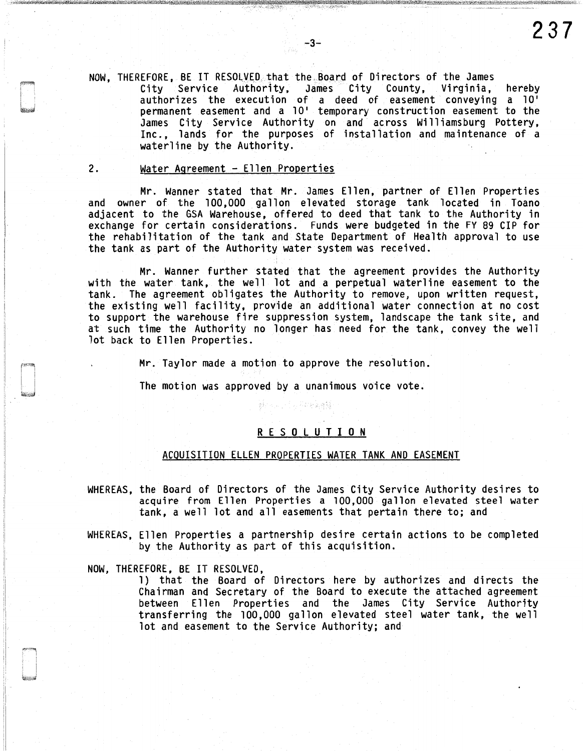NOW, THEREFORE, BE IT RESOLVED that the Board of Directors of the James City Service Authority, James City County, Virginia, hereby authorizes the execution of a deed of easement conveying a 10' permanent easement and a 10' temporary construction easement to the James City Service Authority on and across Williamsburg Pottery, Inc., lands for the purposes of installation and maintenance of a waterline by the Authority.

#### 2. Water Agreement - Ellen Properties

Mr. Wanner stated that Mr. James Ellen, partner of Ellen Properties and owner of the 100,000 gallon elevated storage tank located in Toano adjacent to the GSA Warehouse, offered to deed that tank to the Authority in exchange for certain considerations. Funds were budgeted in the FY 89 CIP for the rehabilitation of the tank and State Department of Health approval to use the tank as part of the Authority water system was received.

Mr. Wanner further stated that the agreement provides the Authority with the water tank, the well lot and a perpetual waterline easement to the tank. The agreement obligates the Authority to remove, upon written request, the existing well facility, provide an additional water connection at no cost to support the warehouse fire suppression system, landscape the tank site, and at such time the Authority no longer has need for the tank, convey the well lot back to Ellen Properties.

Mr. Taylor made a motion to approve the resolution.

The motion was approved by a unanimous voice vote.

#### R E S 0 L U T I 0 N

#### ACQUISITION ELLEN PROPERTIES WATER TANK AND EASEMENT

- WHEREAS, the Board of Directors of the James City Service Authority desires to acquire from Ellen Properties a 100,000 gallon elevated steel water tank, a well lot and all easements that pertain there to; and
- WHEREAS, Ellen Properties a partnership desire certain actions to be completed by the Authority as part of this acquisition.

NOW, THEREFORE, BE IT RESOLVED,

1) that the Board of Directors here by authorizes and directs the Chairman and Secretary of the Board to execute the attached agreement between Ellen Properties and the James City Service Authority transferring the 100,000 gallon elevated steel water tank, the well lot and easement to the Service Authority; and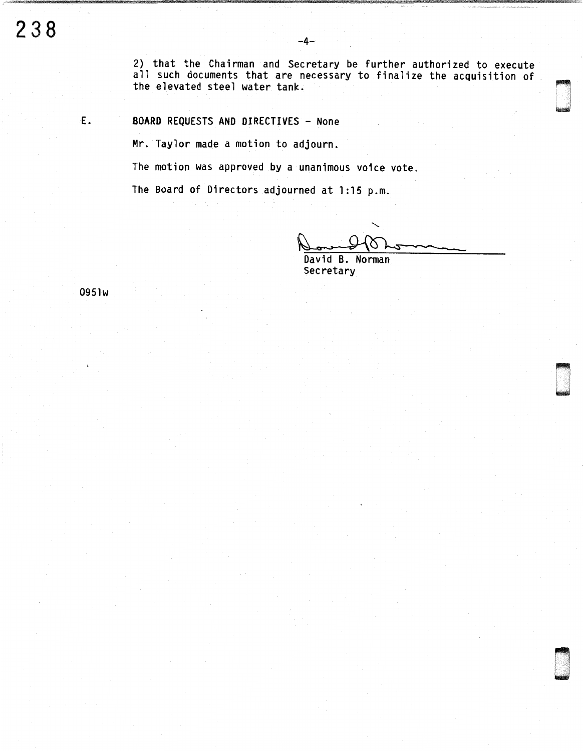2) that the Chairman and Secretary be further authorized to execute all such documents that are necessary to finalize the acquisition of the elevated steel water tank.

E. BOARD REQUESTS AND DIRECTIVES - None

Mr. Taylor made a motion to adjourn.

The motion was approved by a unanimous voice vote.

The Board of Directors adjourned at 1:15 p.m.

D

n under der Stadt und der Frans andere andere der Erika und der Erika und der Erika und der Erika und der Erik<br>Nach

David B. Norman Secretary

0951w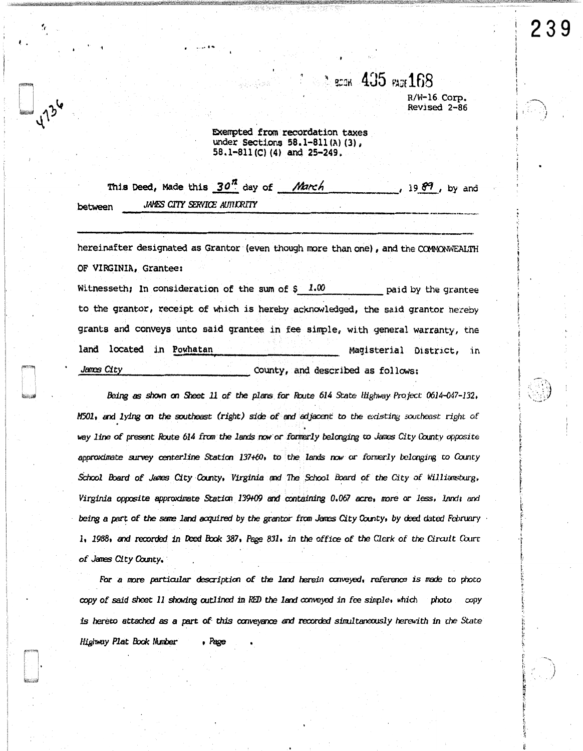## $\degree$  scok  $\ket{435}$  rags  $168$ R/W-16 Corp.

**Revised 2-86** 

Exempted from recordation taxes under Sections 58.1-811(A)(3), 58.1-811(C)(4) and 25-249.

|         |  |                              |  | This Deed, Made this 30 <sup>th</sup> day of March | $\frac{19.69}{ }$ , by and |  |  |
|---------|--|------------------------------|--|----------------------------------------------------|----------------------------|--|--|
| between |  | JAMES CITY SERVICE AUTHORITY |  |                                                    |                            |  |  |

hereinafter designated as Grantor (even though more than one), and the COMMONWEALTH OF VIRGINIA, Grantee:

Witnesseth; In consideration of the sum of  $\frac{1}{2}$  1.00 paid by the grantee to the grantor, receipt of which is hereby acknowledged, the said grantor hereby grants and conveys unto said grantee in fee simple, with general warranty, the land located in Powhatan Magisterial District, in James City County, and described as follows:

Being as shown on Sheet 11 of the plans for Route 614 State Highway Project 0614-047-132. M501, and lying on the southeast (right) side of and adjacent to the existing southeast right of way line of present Route 614 from the lands now or formerly belonging to James City County opposite approximate survey centerline Station 137+60, to the lands now or formerly belonging to County School Board of James City County, Virginia and The School Board of the City of Williamsburg, Virginia opposite approximate Station 139409 and containing 0.067 acre, more or less, land; and being a part of the same land acquired by the grantor from James City County, by deed dated February 1, 1988, and recorded in Deed Book 387, Page 831, in the office of the Clerk of the Circuit Court of James City County.

For a more particular description of the land herein conveyed, reference is made to photo copy of said sheet 11 showing outlined in RED the land conveyed in fee simple, which photo copy is hereto attached as a part of this conveyance and recorded simultaneously herewith in the State Highway Plat Book Number  $P$ age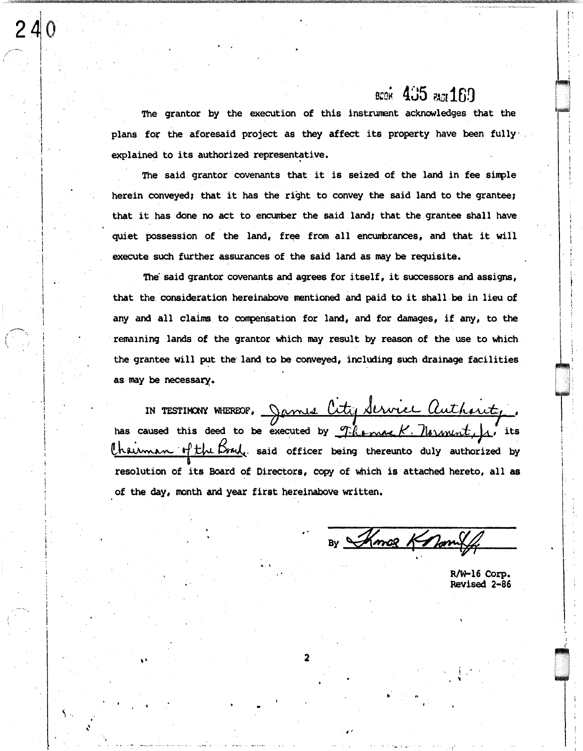# BCOK 435 PASE 169

The grantor by the execution of this instrument acknowledges that the plans for the aforesaid project as they affect its property have been fully explained to its authorized representative.

The said grantor covenants that it is seized of the land in fee simple herein conveyed; that it has the right to convey the said land to the grantee; that it has done no act to encumber the said land; that the grantee shall have quiet possession of the land, free from all encumbrances, and that it will execute such further assurances of the said land as may be requisite.

The said grantor covenants and agrees for itself, it successors and assigns, that the consideration hereinabove mentioned and paid to it shall be in lieu of any and all claims to compensation for land, and for damages, if any, to the remaining lands of the grantor which may result by reason of the use to which the grantee will put the land to be conveyed, including such drainage facilities as may be necessary.

IN TESTIMONY WHEREOF, James City Service Authority has caused this deed to be executed by Themal K. Normint,  $\mu'$  its Chaiman of the Brack said officer being thereunto duly authorized by resolution of its Board of Directors, copy of which is attached hereto, all as of the day, month and year first hereinabove written.

By *Shmoe Knon* 

R/W-16 Corp. **Revised 2-86**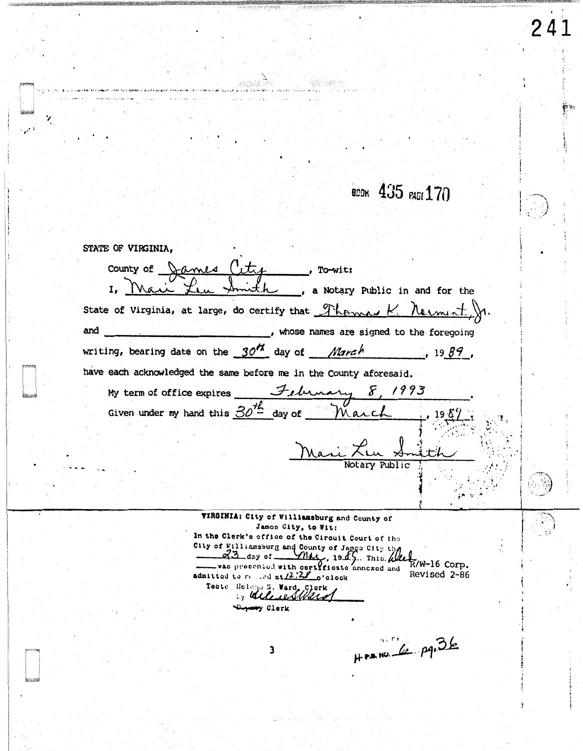всок 435 <sub>РАБЕ</sub> 170

 $\boxed{241}$ 

| STATE OF VIRGINIA,                                                                                                                                                         |  |
|----------------------------------------------------------------------------------------------------------------------------------------------------------------------------|--|
| county of James City<br>, To-wit:                                                                                                                                          |  |
| 1, Mai<br>a Notary Public in and for the                                                                                                                                   |  |
| State of Virginia, at large, do certify that Thomas K. Nermint                                                                                                             |  |
| and<br>, whose names are signed to the foregoing                                                                                                                           |  |
| writing, bearing date on the $3077$ day of <i>March</i><br>1989,                                                                                                           |  |
| have each acknowledged the same before me in the County aforesaid.                                                                                                         |  |
|                                                                                                                                                                            |  |
| My term of office expires $\frac{\mathcal{F}_{\ell}\mu_{\ell}}{\mathcal{F}_{\ell}}$ $\frac{\mathcal{F}_{\ell}}{\mathcal{F}_{\ell}}$ / 993                                  |  |
| Mari L.                                                                                                                                                                    |  |
| Notarv Public                                                                                                                                                              |  |
| VIRGINIA: City of Williamsburg and County of<br>Jamon City, to Wit:<br>In the Clerk's office of the Circuit Court of the                                                   |  |
| City of Williamsburg and County of Jamgs City the<br>$ \alpha$ 3 day of $-M4$ , 1945. This 4<br>R/W-16 Corp.<br>was presented with certificate annexed and<br>Revised 2-86 |  |
| admitted to resident $(2.2)$ o'clock<br>Teate Holono S. Ward, Clerk<br>Mulica Mar                                                                                          |  |
| Duyusay Clerk                                                                                                                                                              |  |

χ

 $\mathcal{L}^{\mathcal{A}}$ 

 $H^{p,p} = 6 \cdot 10^{-26}$ 

 $\overline{\mathbf{3}}$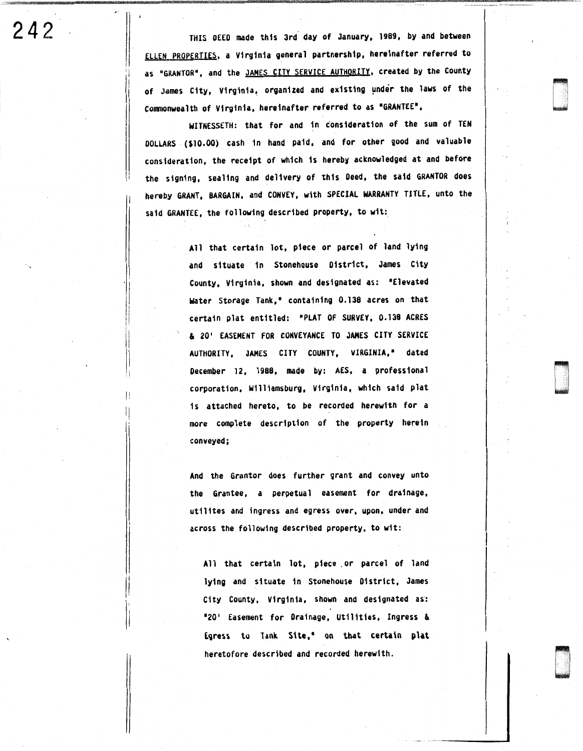242 **THIS DEED made this 3rd day of January, 1989, by and between** ELLEN PROPERTIES, a Virginia general partnership, hereinafter referred to as "GRANTOR", and the JAMES CITY SERVICE AUTHORITY, created by the County of James City, Virginia, organized and existing under the laws of the Commonwealth of Virginia, hereinafter referred to as •GRANTEE",

can<br>can

933<br>D .<br>G .

ri I I -

WITNESSETH: that for and in c'ons1deration of the sum of TEN DOLLARS (\$10.00) cash 1n hand paid, and for other good and valuable consideration, the receipt of which is hereby acknowledged at and before the signing, sealing and delivery of this Deed, the said GRANTOR does hereby GRANT, BARGAIN, and CONVEY, with SPECIAL WARRANTY TITLE, unto the said GRANTEE, the following described property, to wit:

> All that certain lot, piece or parcel of land lying and situate in Stonehouse D1str1ct, James City County, Virginia, shown and designated as: "Elevated water Storage Tank,• containing 0.138 acres on that certain plat entitled: •PLAT OF SURVEY, 0.138 ACRES & 20' EASEMENT FOR CONVEYANCE TO JAHES CITY SERVICE AUTHORITY, JAMES CITY COUNTY, VIRGINIA,• dated December 12, 1988, made by: AES, a professional corporation, Williamsburg, Virginia, which said plat is attached hereto, to be recorded herewith for a more complete description of the property herein conveyed;

> And the Grantor does further grant and convey unto the Grantee, a perpetual easement for drainage, utilites and ingress and egress over, upon, under and across the following described property, to wit:

All that certain lot, piece .or parcel of land lying and situate 1n Stonehouse District, James City County, Virginia, shown and designated as·: "20' Easement for Drainage, Utilities, Ingress & Egress to Tank Site," on that certain plat heretofore described and recorded herewith.

:i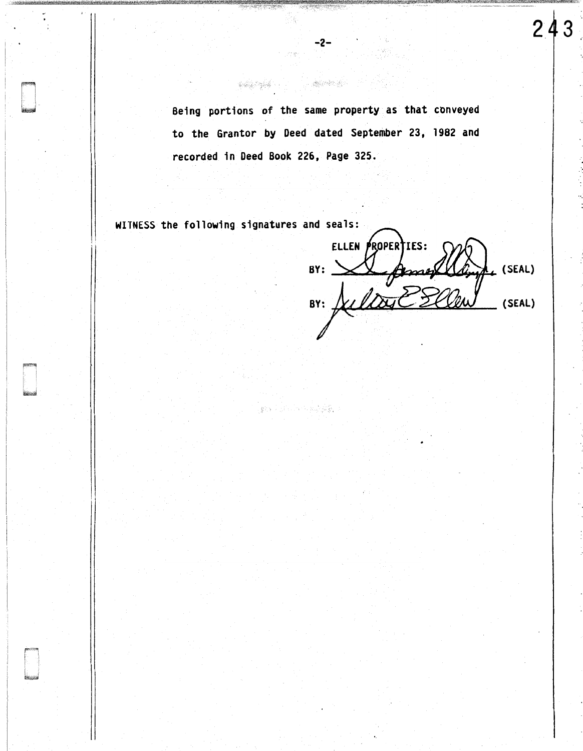Being portions of the same property as that conveyed to the Grantor by Deed dated September 23, 1982 and recorded in Deed Book 226, Page 325.

-2-

448 年15日, 2015年 网络病毒。

WITNESS the following signatures and seals:

 $\mathbf{I}$ 

ELLEN PROPERTIES: famer BY: \_ L (SEAL) BY: Sultage (SEAL)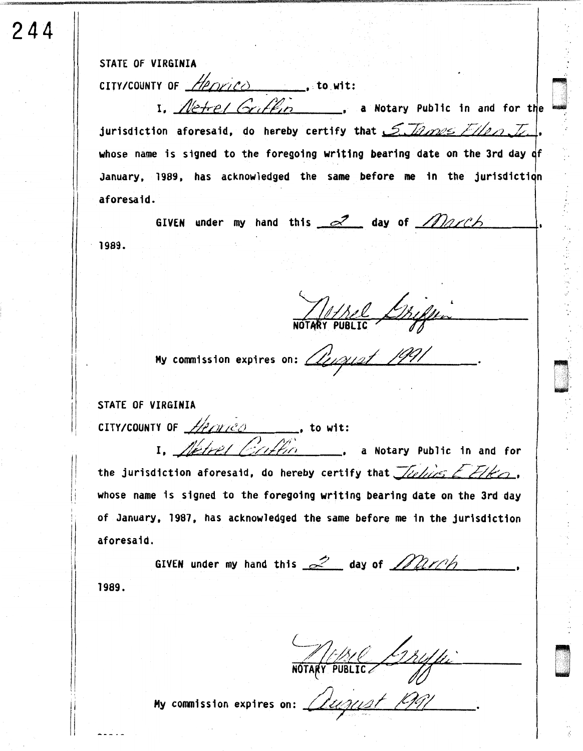STATE OF VIRGINIA

244

CITY/COUNTY OF  $Heprico$  to wit:

jurisdiction aforesaid, do hereby certify that 5. Illess Filen. I. whose name is signed to the foregoing writing bearing date on the 3rd day of January, 1989, has acknowledged the same before me in the jurisdiction aforesaid.

GIVEN under my hand this 2 day of March  $-1989.$ 

The Chiffen

My commission expires on: *Alingest 1991* 

STATE OF VIRGINIA

CITY/COUNTY OF  $Hence$ , to wit:<br>
1. Netrel Criftic ... a Notary Public in and for

the jurisdiction aforesaid, do hereby certify that  $\mathcal{Z}$ elies Elko, whose name is signed to the foregoing writing bearing date on the 3rd day of January, 1987, has acknowledged the same before me in the jurisdiction aforesaid.

GIVEN under my hand this  $\approx$  day of  $M\nu$ 1989.

NOTARY PUBLIC / 124/4

My commission expires on: August